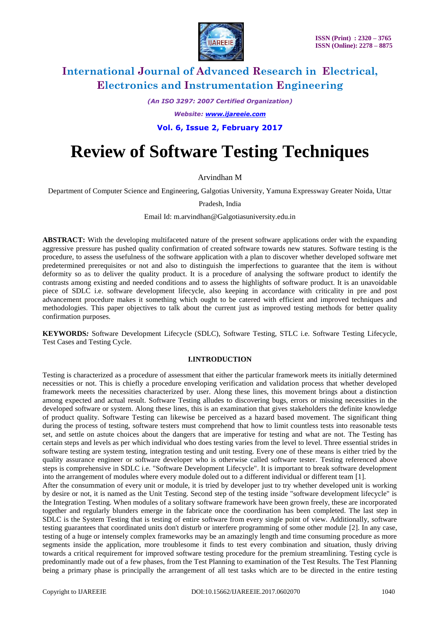

*(An ISO 3297: 2007 Certified Organization)*

*Website: [www.ijareeie.com](http://www.ijareeie.com/)*

**Vol. 6, Issue 2, February 2017**

# **Review of Software Testing Techniques**

Arvindhan M

Department of Computer Science and Engineering, Galgotias University, Yamuna Expressway Greater Noida, Uttar

Pradesh, India

Email Id: m.arvindhan@Galgotiasuniversity.edu.in

**ABSTRACT:** With the developing multifaceted nature of the present software applications order with the expanding aggressive pressure has pushed quality confirmation of created software towards new statures. Software testing is the procedure, to assess the usefulness of the software application with a plan to discover whether developed software met predetermined prerequisites or not and also to distinguish the imperfections to guarantee that the item is without deformity so as to deliver the quality product. It is a procedure of analysing the software product to identify the contrasts among existing and needed conditions and to assess the highlights of software product. It is an unavoidable piece of SDLC i.e. software development lifecycle, also keeping in accordance with criticality in pre and post advancement procedure makes it something which ought to be catered with efficient and improved techniques and methodologies. This paper objectives to talk about the current just as improved testing methods for better quality confirmation purposes.

**KEYWORDS***:* Software Development Lifecycle (SDLC), Software Testing, STLC i.e. Software Testing Lifecycle, Test Cases and Testing Cycle.

### **I.INTRODUCTION**

Testing is characterized as a procedure of assessment that either the particular framework meets its initially determined necessities or not. This is chiefly a procedure enveloping verification and validation process that whether developed framework meets the necessities characterized by user. Along these lines, this movement brings about a distinction among expected and actual result. Software Testing alludes to discovering bugs, errors or missing necessities in the developed software or system. Along these lines, this is an examination that gives stakeholders the definite knowledge of product quality. Software Testing can likewise be perceived as a hazard based movement. The significant thing during the process of testing, software testers must comprehend that how to limit countless tests into reasonable tests set, and settle on astute choices about the dangers that are imperative for testing and what are not. The Testing has certain steps and levels as per which individual who does testing varies from the level to level. Three essential strides in software testing are system testing, integration testing and unit testing. Every one of these means is either tried by the quality assurance engineer or software developer who is otherwise called software tester. Testing referenced above steps is comprehensive in SDLC i.e. "Software Development Lifecycle". It is important to break software development into the arrangement of modules where every module doled out to a different individual or different team [1].

After the consummation of every unit or module, it is tried by developer just to try whether developed unit is working by desire or not, it is named as the Unit Testing. Second step of the testing inside "software development lifecycle" is the Integration Testing. When modules of a solitary software framework have been grown freely, these are incorporated together and regularly blunders emerge in the fabricate once the coordination has been completed. The last step in SDLC is the System Testing that is testing of entire software from every single point of view. Additionally, software testing guarantees that coordinated units don't disturb or interfere programming of some other module [2]. In any case, testing of a huge or intensely complex frameworks may be an amazingly length and time consuming procedure as more segments inside the application, more troublesome it finds to test every combination and situation, thusly driving towards a critical requirement for improved software testing procedure for the premium streamlining. Testing cycle is predominantly made out of a few phases, from the Test Planning to examination of the Test Results. The Test Planning being a primary phase is principally the arrangement of all test tasks which are to be directed in the entire testing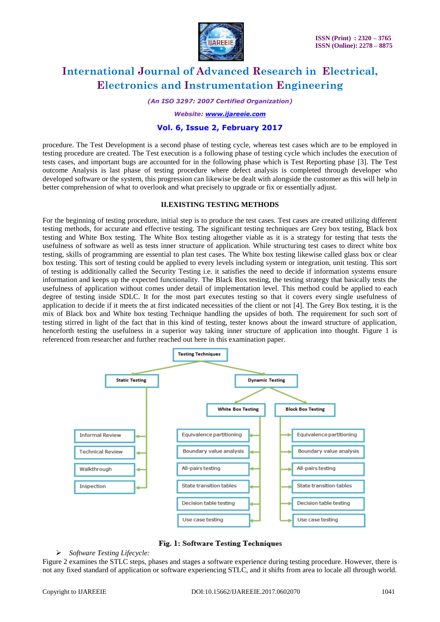

*(An ISO 3297: 2007 Certified Organization)*

*Website: [www.ijareeie.com](http://www.ijareeie.com/)*

# **Vol. 6, Issue 2, February 2017**

procedure. The Test Development is a second phase of testing cycle, whereas test cases which are to be employed in testing procedure are created. The Test execution is a following phase of testing cycle which includes the execution of tests cases, and important bugs are accounted for in the following phase which is Test Reporting phase [3]. The Test outcome Analysis is last phase of testing procedure where defect analysis is completed through developer who developed software or the system, this progression can likewise be dealt with alongside the customer as this will help in better comprehension of what to overlook and what precisely to upgrade or fix or essentially adjust.

### **II.EXISTING TESTING METHODS**

For the beginning of testing procedure, initial step is to produce the test cases. Test cases are created utilizing different testing methods, for accurate and effective testing. The significant testing techniques are Grey box testing, Black box testing and White Box testing. The White Box testing altogether viable as it is a strategy for testing that tests the usefulness of software as well as tests inner structure of application. While structuring test cases to direct white box testing, skills of programming are essential to plan test cases. The White box testing likewise called glass box or clear box testing. This sort of testing could be applied to every levels including system or integration, unit testing. This sort of testing is additionally called the Security Testing i.e. it satisfies the need to decide if information systems ensure information and keeps up the expected functionality. The Black Box testing, the testing strategy that basically tests the usefulness of application without comes under detail of implementation level. This method could be applied to each degree of testing inside SDLC. It for the most part executes testing so that it covers every single usefulness of application to decide if it meets the at first indicated necessities of the client or not [4]. The Grey Box testing, it is the mix of Black box and White box testing Technique handling the upsides of both. The requirement for such sort of testing stirred in light of the fact that in this kind of testing, tester knows about the inward structure of application, henceforth testing the usefulness in a superior way taking inner structure of application into thought. Figure 1 is referenced from researcher and further reached out here in this examination paper.





### *Software Testing Lifecycle:*

Figure 2 examines the STLC steps, phases and stages a software experience during testing procedure. However, there is not any fixed standard of application or software experiencing STLC, and it shifts from area to locale all through world.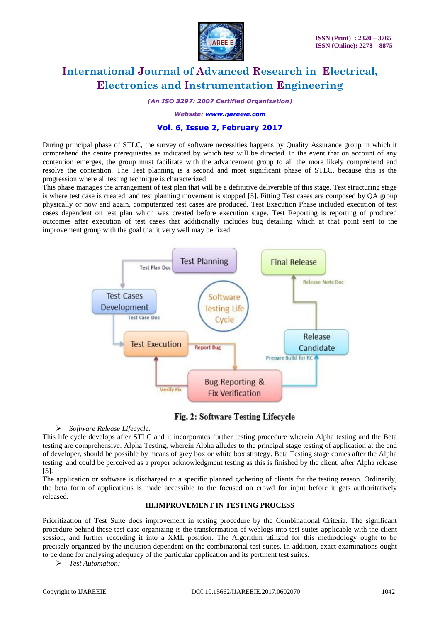

*(An ISO 3297: 2007 Certified Organization)*

*Website: [www.ijareeie.com](http://www.ijareeie.com/)*

# **Vol. 6, Issue 2, February 2017**

During principal phase of STLC, the survey of software necessities happens by Quality Assurance group in which it comprehend the centre prerequisites as indicated by which test will be directed. In the event that on account of any contention emerges, the group must facilitate with the advancement group to all the more likely comprehend and resolve the contention. The Test planning is a second and most significant phase of STLC, because this is the progression where all testing technique is characterized.

This phase manages the arrangement of test plan that will be a definitive deliverable of this stage. Test structuring stage is where test case is created, and test planning movement is stopped [5]. Fitting Test cases are composed by QA group physically or now and again, computerized test cases are produced. Test Execution Phase included execution of test cases dependent on test plan which was created before execution stage. Test Reporting is reporting of produced outcomes after execution of test cases that additionally includes bug detailing which at that point sent to the improvement group with the goal that it very well may be fixed.



Fig. 2: Software Testing Lifecycle

### *Software Release Lifecycle:*

This life cycle develops after STLC and it incorporates further testing procedure wherein Alpha testing and the Beta testing are comprehensive. Alpha Testing, wherein Alpha alludes to the principal stage testing of application at the end of developer, should be possible by means of grey box or white box strategy. Beta Testing stage comes after the Alpha testing, and could be perceived as a proper acknowledgment testing as this is finished by the client, after Alpha release [5].

The application or software is discharged to a specific planned gathering of clients for the testing reason. Ordinarily, the beta form of applications is made accessible to the focused on crowd for input before it gets authoritatively released.

# **III.IMPROVEMENT IN TESTING PROCESS**

Prioritization of Test Suite does improvement in testing procedure by the Combinational Criteria. The significant procedure behind these test case organizing is the transformation of weblogs into test suites applicable with the client session, and further recording it into a XML position. The Algorithm utilized for this methodology ought to be precisely organized by the inclusion dependent on the combinatorial test suites. In addition, exact examinations ought to be done for analysing adequacy of the particular application and its pertinent test suites.

*Test Automation:*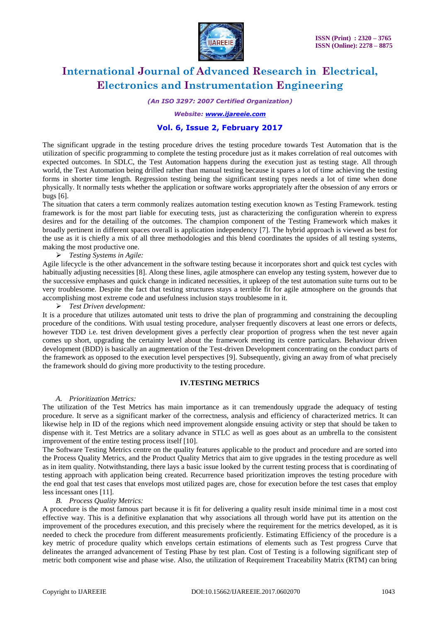

*(An ISO 3297: 2007 Certified Organization)*

### *Website: [www.ijareeie.com](http://www.ijareeie.com/)*

## **Vol. 6, Issue 2, February 2017**

The significant upgrade in the testing procedure drives the testing procedure towards Test Automation that is the utilization of specific programming to complete the testing procedure just as it makes correlation of real outcomes with expected outcomes. In SDLC, the Test Automation happens during the execution just as testing stage. All through world, the Test Automation being drilled rather than manual testing because it spares a lot of time achieving the testing forms in shorter time length. Regression testing being the significant testing types needs a lot of time when done physically. It normally tests whether the application or software works appropriately after the obsession of any errors or bugs [6].

The situation that caters a term commonly realizes automation testing execution known as Testing Framework. testing framework is for the most part liable for executing tests, just as characterizing the configuration wherein to express desires and for the detailing of the outcomes. The champion component of the Testing Framework which makes it broadly pertinent in different spaces overall is application independency [7]. The hybrid approach is viewed as best for the use as it is chiefly a mix of all three methodologies and this blend coordinates the upsides of all testing systems, making the most productive one.

*Testing Systems in Agile:*

Agile lifecycle is the other advancement in the software testing because it incorporates short and quick test cycles with habitually adjusting necessities [8]. Along these lines, agile atmosphere can envelop any testing system, however due to the successive emphases and quick change in indicated necessities, it upkeep of the test automation suite turns out to be very troublesome. Despite the fact that testing structures stays a terrible fit for agile atmosphere on the grounds that accomplishing most extreme code and usefulness inclusion stays troublesome in it.

*Test Driven development:*

It is a procedure that utilizes automated unit tests to drive the plan of programming and constraining the decoupling procedure of the conditions. With usual testing procedure, analyser frequently discovers at least one errors or defects, however TDD i.e. test driven development gives a perfectly clear proportion of progress when the test never again comes up short, upgrading the certainty level about the framework meeting its centre particulars. Behaviour driven development (BDD) is basically an augmentation of the Test-driven Development concentrating on the conduct parts of the framework as opposed to the execution level perspectives [9]. Subsequently, giving an away from of what precisely the framework should do giving more productivity to the testing procedure.

#### **IV.TESTING METRICS**

#### *A. Prioritization Metrics:*

The utilization of the Test Metrics has main importance as it can tremendously upgrade the adequacy of testing procedure. It serve as a significant marker of the correctness, analysis and efficiency of characterized metrics. It can likewise help in ID of the regions which need improvement alongside ensuing activity or step that should be taken to dispense with it. Test Metrics are a solitary advance in STLC as well as goes about as an umbrella to the consistent improvement of the entire testing process itself [10].

The Software Testing Metrics centre on the quality features applicable to the product and procedure and are sorted into the Process Quality Metrics, and the Product Quality Metrics that aim to give upgrades in the testing procedure as well as in item quality. Notwithstanding, there lays a basic issue looked by the current testing process that is coordinating of testing approach with application being created. Recurrence based prioritization improves the testing procedure with the end goal that test cases that envelops most utilized pages are, chose for execution before the test cases that employ less incessant ones [11].

#### *B. Process Quality Metrics:*

A procedure is the most famous part because it is fit for delivering a quality result inside minimal time in a most cost effective way. This is a definitive explanation that why associations all through world have put its attention on the improvement of the procedures execution, and this precisely where the requirement for the metrics developed, as it is needed to check the procedure from different measurements proficiently. Estimating Efficiency of the procedure is a key metric of procedure quality which envelops certain estimations of elements such as Test progress Curve that delineates the arranged advancement of Testing Phase by test plan. Cost of Testing is a following significant step of metric both component wise and phase wise. Also, the utilization of Requirement Traceability Matrix (RTM) can bring